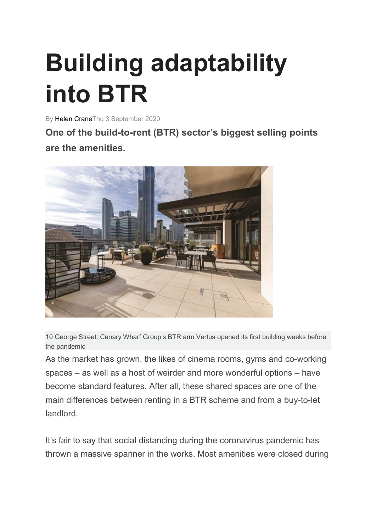# **Building adaptability into BTR**

By Helen CraneThu 3 September 2020

**One of the build-to-rent (BTR) sector's biggest selling points are the amenities.**



10 George Street: Canary Wharf Group's BTR arm Vertus opened its first building weeks before the pandemic

As the market has grown, the likes of cinema rooms, gyms and co-working spaces – as well as a host of weirder and more wonderful options – have become standard features. After all, these shared spaces are one of the main differences between renting in a BTR scheme and from a buy-to-let landlord.

It's fair to say that social distancing during the coronavirus pandemic has thrown a massive spanner in the works. Most amenities were closed during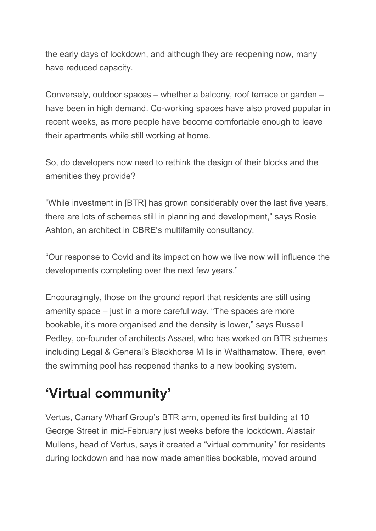the early days of lockdown, and although they are reopening now, many have reduced capacity.

Conversely, outdoor spaces – whether a balcony, roof terrace or garden – have been in high demand. Co-working spaces have also proved popular in recent weeks, as more people have become comfortable enough to leave their apartments while still working at home.

So, do developers now need to rethink the design of their blocks and the amenities they provide?

"While investment in [BTR] has grown considerably over the last five years, there are lots of schemes still in planning and development," says Rosie Ashton, an architect in CBRE's multifamily consultancy.

"Our response to Covid and its impact on how we live now will influence the developments completing over the next few years."

Encouragingly, those on the ground report that residents are still using amenity space – just in a more careful way. "The spaces are more bookable, it's more organised and the density is lower," says Russell Pedley, co-founder of architects Assael, who has worked on BTR schemes including Legal & General's Blackhorse Mills in Walthamstow. There, even the swimming pool has reopened thanks to a new booking system.

# **'Virtual community'**

Vertus, Canary Wharf Group's BTR arm, opened its first building at 10 George Street in mid-February just weeks before the lockdown. Alastair Mullens, head of Vertus, says it created a "virtual community" for residents during lockdown and has now made amenities bookable, moved around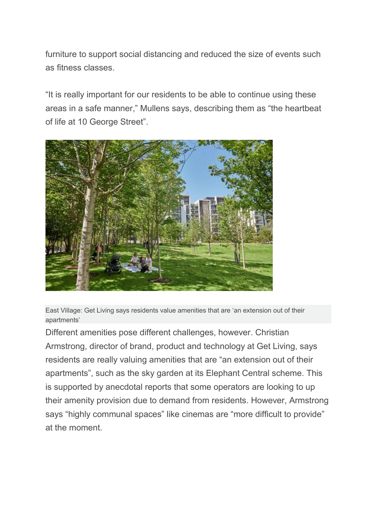furniture to support social distancing and reduced the size of events such as fitness classes.

"It is really important for our residents to be able to continue using these areas in a safe manner," Mullens says, describing them as "the heartbeat of life at 10 George Street".



East Village: Get Living says residents value amenities that are 'an extension out of their apartments'

Different amenities pose different challenges, however. Christian Armstrong, director of brand, product and technology at Get Living, says residents are really valuing amenities that are "an extension out of their apartments", such as the sky garden at its Elephant Central scheme. This is supported by anecdotal reports that some operators are looking to up their amenity provision due to demand from residents. However, Armstrong says "highly communal spaces" like cinemas are "more difficult to provide" at the moment.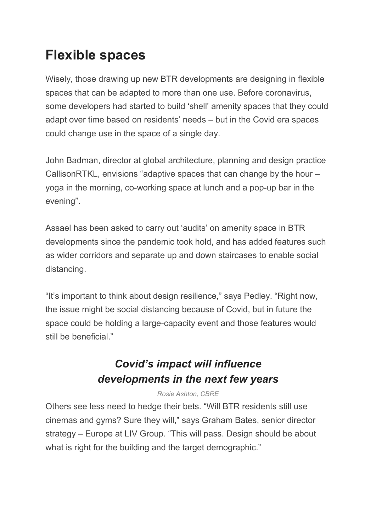## **Flexible spaces**

Wisely, those drawing up new BTR developments are designing in flexible spaces that can be adapted to more than one use. Before coronavirus, some developers had started to build 'shell' amenity spaces that they could adapt over time based on residents' needs – but in the Covid era spaces could change use in the space of a single day.

John Badman, director at global architecture, planning and design practice CallisonRTKL, envisions "adaptive spaces that can change by the hour – yoga in the morning, co-working space at lunch and a pop-up bar in the evening".

Assael has been asked to carry out 'audits' on amenity space in BTR developments since the pandemic took hold, and has added features such as wider corridors and separate up and down staircases to enable social distancing.

"It's important to think about design resilience," says Pedley. "Right now, the issue might be social distancing because of Covid, but in future the space could be holding a large-capacity event and those features would still be beneficial."

### *Covid's impact will influence developments in the next few years*

#### *Rosie Ashton, CBRE*

Others see less need to hedge their bets. "Will BTR residents still use cinemas and gyms? Sure they will," says Graham Bates, senior director strategy – Europe at LIV Group. "This will pass. Design should be about what is right for the building and the target demographic."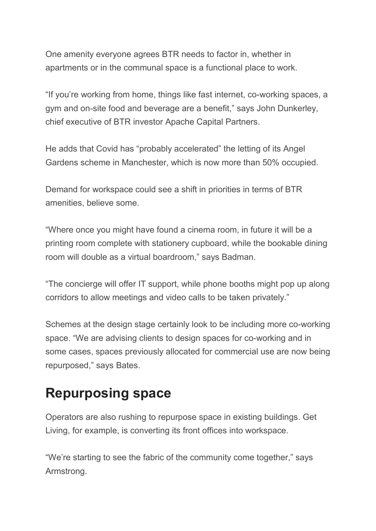One amenity everyone agrees BTR needs to factor in, whether in apartments or in the communal space is a functional place to work.

"If you're working from home, things like fast internet, co-working spaces, a gym and on-site food and beverage are a benefit," says John Dunkerley, chief executive of BTR investor Apache Capital Partners.

He adds that Covid has "probably accelerated" the letting of its Angel Gardens scheme in Manchester, which is now more than 50% occupied.

Demand for workspace could see a shift in priorities in terms of BTR amenities, believe some.

"Where once you might have found a cinema room, in future it will be a printing room complete with stationery cupboard, while the bookable dining room will double as a virtual boardroom," says Badman.

"The concierge will offer IT support, while phone booths might pop up along corridors to allow meetings and video calls to be taken privately."

Schemes at the design stage certainly look to be including more co-working space. "We are advising clients to design spaces for co-working and in some cases, spaces previously allocated for commercial use are now being repurposed," says Bates.

### **Repurposing space**

Operators are also rushing to repurpose space in existing buildings. Get Living, for example, is converting its front offices into workspace.

"We're starting to see the fabric of the community come together," says Armstrong.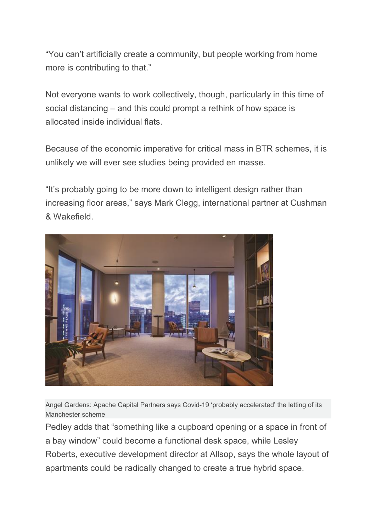"You can't artificially create a community, but people working from home more is contributing to that."

Not everyone wants to work collectively, though, particularly in this time of social distancing – and this could prompt a rethink of how space is allocated inside individual flats.

Because of the economic imperative for critical mass in BTR schemes, it is unlikely we will ever see studies being provided en masse.

"It's probably going to be more down to intelligent design rather than increasing floor areas," says Mark Clegg, international partner at Cushman & Wakefield.



Angel Gardens: Apache Capital Partners says Covid-19 'probably accelerated' the letting of its Manchester scheme

Pedley adds that "something like a cupboard opening or a space in front of a bay window" could become a functional desk space, while Lesley Roberts, executive development director at Allsop, says the whole layout of apartments could be radically changed to create a true hybrid space.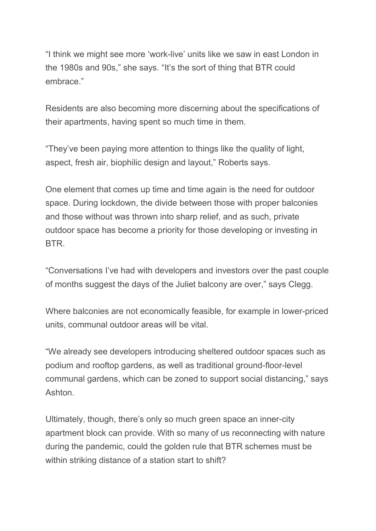"I think we might see more 'work-live' units like we saw in east London in the 1980s and 90s," she says. "It's the sort of thing that BTR could embrace."

Residents are also becoming more discerning about the specifications of their apartments, having spent so much time in them.

"They've been paying more attention to things like the quality of light, aspect, fresh air, biophilic design and layout," Roberts says.

One element that comes up time and time again is the need for outdoor space. During lockdown, the divide between those with proper balconies and those without was thrown into sharp relief, and as such, private outdoor space has become a priority for those developing or investing in BTR.

"Conversations I've had with developers and investors over the past couple of months suggest the days of the Juliet balcony are over," says Clegg.

Where balconies are not economically feasible, for example in lower-priced units, communal outdoor areas will be vital.

"We already see developers introducing sheltered outdoor spaces such as podium and rooftop gardens, as well as traditional ground-floor-level communal gardens, which can be zoned to support social distancing," says Ashton.

Ultimately, though, there's only so much green space an inner-city apartment block can provide. With so many of us reconnecting with nature during the pandemic, could the golden rule that BTR schemes must be within striking distance of a station start to shift?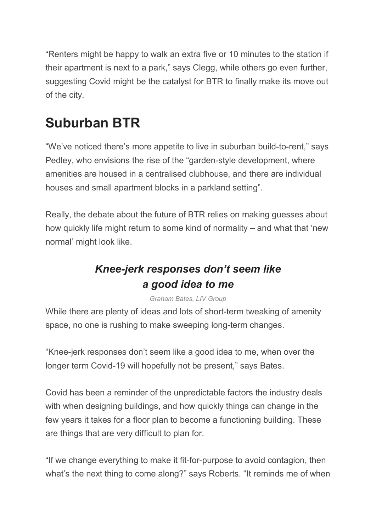"Renters might be happy to walk an extra five or 10 minutes to the station if their apartment is next to a park," says Clegg, while others go even further, suggesting Covid might be the catalyst for BTR to finally make its move out of the city.

# **Suburban BTR**

"We've noticed there's more appetite to live in suburban build-to-rent," says Pedley, who envisions the rise of the "garden-style development, where amenities are housed in a centralised clubhouse, and there are individual houses and small apartment blocks in a parkland setting".

Really, the debate about the future of BTR relies on making guesses about how quickly life might return to some kind of normality – and what that 'new normal' might look like.

### *Knee-jerk responses don't seem like a good idea to me*

*Graham Bates, LIV Group*

While there are plenty of ideas and lots of short-term tweaking of amenity space, no one is rushing to make sweeping long-term changes.

"Knee-jerk responses don't seem like a good idea to me, when over the longer term Covid-19 will hopefully not be present," says Bates.

Covid has been a reminder of the unpredictable factors the industry deals with when designing buildings, and how quickly things can change in the few years it takes for a floor plan to become a functioning building. These are things that are very difficult to plan for.

"If we change everything to make it fit-for-purpose to avoid contagion, then what's the next thing to come along?" says Roberts. "It reminds me of when